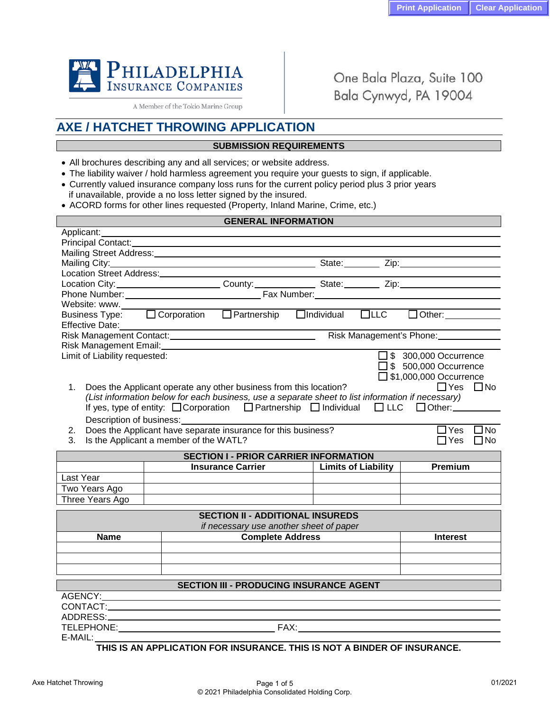

A Member of the Tokio Marine Group

One Bala Plaza, Suite 100 Bala Cynwyd, PA 19004

# **AXE / HATCHET THROWING APPLICATION**

## **SUBMISSION REQUIREMENTS**

- All brochures describing any and all services; or website address.
- The liability waiver / hold harmless agreement you require your guests to sign, if applicable.
- Currently valued insurance company loss runs for the current policy period plus 3 prior years if unavailable, provide a no loss letter signed by the insured.
- ACORD forms for other lines requested (Property, Inland Marine, Crime, etc.)

| <b>GENERAL INFORMATION</b>                                                                                            |                                        |                                                                                                   |  |                            |                                                                                 |  |  |
|-----------------------------------------------------------------------------------------------------------------------|----------------------------------------|---------------------------------------------------------------------------------------------------|--|----------------------------|---------------------------------------------------------------------------------|--|--|
| Applicant:                                                                                                            |                                        |                                                                                                   |  |                            |                                                                                 |  |  |
| Principal Contact: <u>Cambridge Contact:</u> Cambridge Contact: Cambridge Contact: Cambridge Contact: Cambridge Conta |                                        |                                                                                                   |  |                            |                                                                                 |  |  |
| Mailing Street Address: Mail and Mailing Street Address:                                                              |                                        |                                                                                                   |  |                            |                                                                                 |  |  |
|                                                                                                                       |                                        |                                                                                                   |  |                            |                                                                                 |  |  |
|                                                                                                                       |                                        |                                                                                                   |  |                            |                                                                                 |  |  |
|                                                                                                                       |                                        |                                                                                                   |  |                            |                                                                                 |  |  |
|                                                                                                                       |                                        |                                                                                                   |  |                            |                                                                                 |  |  |
|                                                                                                                       |                                        |                                                                                                   |  |                            |                                                                                 |  |  |
|                                                                                                                       |                                        |                                                                                                   |  |                            | Dusiness Type: □ Corporation □ Partnership □ Individual □ LLC □ Other:          |  |  |
| <b>Effective Date:</b>                                                                                                |                                        |                                                                                                   |  |                            |                                                                                 |  |  |
| Risk Management Contact: Management's Phone: Management's Phone:                                                      |                                        |                                                                                                   |  |                            |                                                                                 |  |  |
| Risk Management Email:<br><u>Example 2008</u>                                                                         |                                        |                                                                                                   |  |                            |                                                                                 |  |  |
| Limit of Liability requested:                                                                                         |                                        |                                                                                                   |  |                            | $\square$ \$ 300,000 Occurrence                                                 |  |  |
|                                                                                                                       |                                        |                                                                                                   |  |                            | $\square$ \$ 500,000 Occurrence                                                 |  |  |
|                                                                                                                       |                                        |                                                                                                   |  |                            | □ \$1,000,000 Occurrence                                                        |  |  |
| 1.                                                                                                                    |                                        | Does the Applicant operate any other business from this location?                                 |  |                            | $\Box$ Yes<br>$\Box$ No                                                         |  |  |
|                                                                                                                       |                                        | (List information below for each business, use a separate sheet to list information if necessary) |  |                            |                                                                                 |  |  |
|                                                                                                                       |                                        |                                                                                                   |  |                            | If yes, type of entity: □ Corporation □ Partnership □ Individual □ LLC □ Other: |  |  |
|                                                                                                                       |                                        |                                                                                                   |  |                            |                                                                                 |  |  |
| 2.                                                                                                                    |                                        | Description of business:<br>Does the Applicant have separate insurance for this business?         |  |                            | $\overline{\Box}$ No<br>$\Box$ Yes                                              |  |  |
| 3.                                                                                                                    | Is the Applicant a member of the WATL? |                                                                                                   |  |                            | $\Box$ Yes<br>$\Box$ No                                                         |  |  |
|                                                                                                                       |                                        |                                                                                                   |  |                            |                                                                                 |  |  |
|                                                                                                                       |                                        | <b>SECTION I - PRIOR CARRIER INFORMATION</b>                                                      |  |                            |                                                                                 |  |  |
|                                                                                                                       |                                        |                                                                                                   |  | <b>Limits of Liability</b> | <b>Premium</b>                                                                  |  |  |
| Last Year                                                                                                             |                                        |                                                                                                   |  |                            |                                                                                 |  |  |
| Two Years Ago                                                                                                         |                                        |                                                                                                   |  |                            |                                                                                 |  |  |
| Three Years Ago                                                                                                       |                                        |                                                                                                   |  |                            |                                                                                 |  |  |
|                                                                                                                       |                                        | <b>SECTION II - ADDITIONAL INSUREDS</b>                                                           |  |                            |                                                                                 |  |  |
|                                                                                                                       |                                        | if necessary use another sheet of paper                                                           |  |                            |                                                                                 |  |  |
| <b>Name</b>                                                                                                           |                                        | <b>Complete Address</b>                                                                           |  |                            | <b>Interest</b>                                                                 |  |  |
|                                                                                                                       |                                        |                                                                                                   |  |                            |                                                                                 |  |  |
|                                                                                                                       |                                        |                                                                                                   |  |                            |                                                                                 |  |  |
|                                                                                                                       |                                        |                                                                                                   |  |                            |                                                                                 |  |  |
| <b>SECTION III - PRODUCING INSURANCE AGENT</b>                                                                        |                                        |                                                                                                   |  |                            |                                                                                 |  |  |
|                                                                                                                       |                                        |                                                                                                   |  |                            |                                                                                 |  |  |
|                                                                                                                       |                                        |                                                                                                   |  |                            |                                                                                 |  |  |
|                                                                                                                       |                                        |                                                                                                   |  |                            |                                                                                 |  |  |
| TELEPHONE: FAX:                                                                                                       |                                        |                                                                                                   |  |                            |                                                                                 |  |  |
| $E-MAIL:$                                                                                                             |                                        |                                                                                                   |  |                            |                                                                                 |  |  |
|                                                                                                                       |                                        |                                                                                                   |  |                            |                                                                                 |  |  |

## **THIS IS AN APPLICATION FOR INSURANCE. THIS IS NOT A BINDER OF INSURANCE.**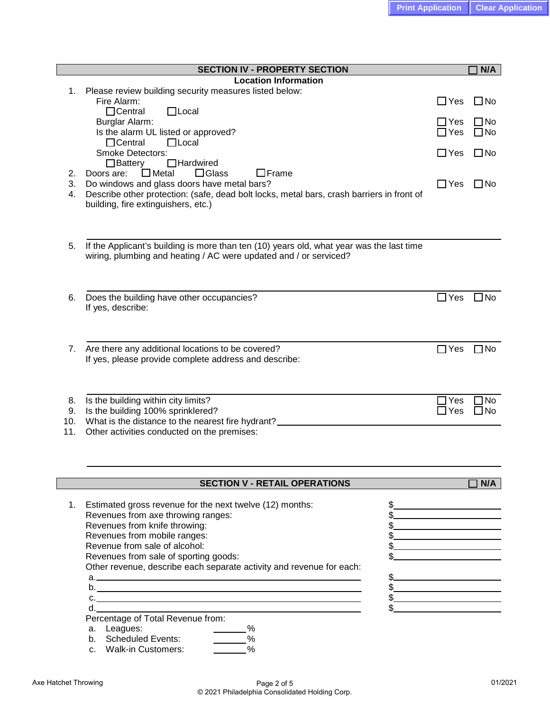| <b>SECTION IV - PROPERTY SECTION</b> |                                                                                                            |               |              |  |
|--------------------------------------|------------------------------------------------------------------------------------------------------------|---------------|--------------|--|
|                                      | <b>Location Information</b>                                                                                |               |              |  |
| 1.                                   | Please review building security measures listed below:<br>Fire Alarm:                                      |               | $\square$ No |  |
|                                      | $\Box$ Local<br>$\Box$ Central                                                                             | $\Box$ Yes    |              |  |
|                                      | Burglar Alarm:                                                                                             | $\Box$ Yes    | $\Box$ No    |  |
|                                      | Is the alarm UL listed or approved?                                                                        | $\Box$ Yes    | $\Box$ No    |  |
|                                      | $\Box$ Local<br>$\Box$ Central                                                                             |               |              |  |
|                                      | <b>Smoke Detectors:</b>                                                                                    | $\Box$ Yes    | $\Box$ No    |  |
|                                      | $\Box$ Battery<br>$\Box$ Hardwired<br>$\mathrel{\sqsupset}$ Frame                                          |               |              |  |
| 2.<br>3.                             | Metal<br>l IGlass<br>Doors are:<br>Do windows and glass doors have metal bars?                             | $\Box$ Yes    | $\square$ No |  |
| 4.                                   | Describe other protection: (safe, dead bolt locks, metal bars, crash barriers in front of                  |               |              |  |
|                                      | building, fire extinguishers, etc.)                                                                        |               |              |  |
|                                      |                                                                                                            |               |              |  |
|                                      |                                                                                                            |               |              |  |
| 5.                                   | If the Applicant's building is more than ten (10) years old, what year was the last time                   |               |              |  |
|                                      | wiring, plumbing and heating / AC were updated and / or serviced?                                          |               |              |  |
|                                      |                                                                                                            |               |              |  |
|                                      |                                                                                                            |               |              |  |
|                                      |                                                                                                            | $\square$ Yes | $\Box$ No    |  |
| 6.                                   | Does the building have other occupancies?<br>If yes, describe:                                             |               |              |  |
|                                      |                                                                                                            |               |              |  |
|                                      |                                                                                                            |               |              |  |
|                                      |                                                                                                            |               |              |  |
| 7.                                   | Are there any additional locations to be covered?<br>If yes, please provide complete address and describe: | $\Box$ Yes    | $\square$ No |  |
|                                      |                                                                                                            |               |              |  |
|                                      |                                                                                                            |               |              |  |
|                                      |                                                                                                            | Yes           | No           |  |
| 8.<br>9.                             | Is the building within city limits?<br>Is the building 100% sprinklered?                                   | $\Box$ Yes    | 3 No         |  |
| 10.                                  | What is the distance to the nearest fire hydrant?                                                          |               |              |  |
| 11.                                  | Other activities conducted on the premises:                                                                |               |              |  |
|                                      |                                                                                                            |               |              |  |
|                                      |                                                                                                            |               |              |  |
|                                      |                                                                                                            |               |              |  |
|                                      | <b>SECTION V - RETAIL OPERATIONS</b>                                                                       |               | N/A          |  |
| 1.                                   | Estimated gross revenue for the next twelve (12) months:<br>\$                                             |               |              |  |
|                                      | Revenues from axe throwing ranges:                                                                         |               |              |  |
|                                      | Revenues from knife throwing:                                                                              |               |              |  |
|                                      | Revenues from mobile ranges:                                                                               |               |              |  |
|                                      | Revenue from sale of alcohol:<br>\$                                                                        |               |              |  |
|                                      | Revenues from sale of sporting goods:                                                                      |               |              |  |
|                                      | Other revenue, describe each separate activity and revenue for each:<br>\$.                                |               |              |  |
|                                      | \$                                                                                                         |               |              |  |
|                                      | \$.<br>C.                                                                                                  |               |              |  |
|                                      | \$<br>d.                                                                                                   |               |              |  |
|                                      | Percentage of Total Revenue from:                                                                          |               |              |  |
|                                      | Leagues:<br>$_{-}\%$<br>a.<br>$\sim$ %<br>b. Scheduled Events:                                             |               |              |  |
|                                      | $\frac{0}{0}$<br><b>Walk-in Customers:</b><br>C <sub>1</sub>                                               |               |              |  |
|                                      |                                                                                                            |               |              |  |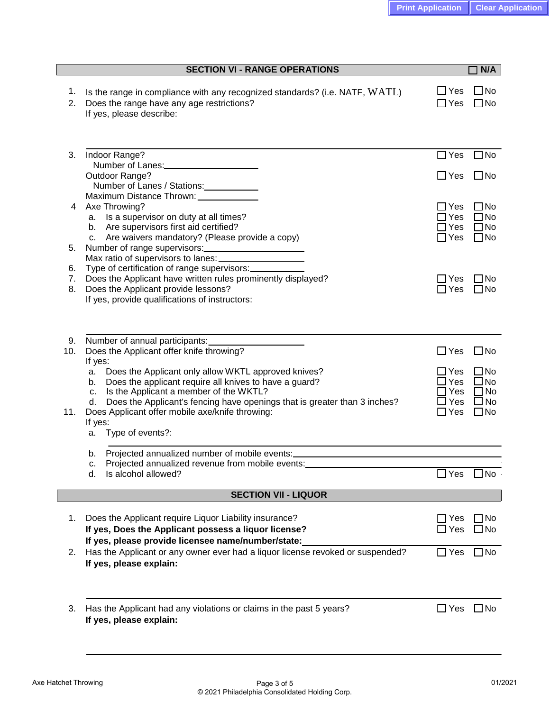| <b>SECTION VI - RANGE OPERATIONS</b> |                                                                                                                                                                                                                                                                                                                            |                                                  | N/A                                                                    |  |  |
|--------------------------------------|----------------------------------------------------------------------------------------------------------------------------------------------------------------------------------------------------------------------------------------------------------------------------------------------------------------------------|--------------------------------------------------|------------------------------------------------------------------------|--|--|
| 1.<br>2.                             | Is the range in compliance with any recognized standards? (i.e. NATF, WATL)<br>Does the range have any age restrictions?<br>If yes, please describe:                                                                                                                                                                       | $\Box$ Yes<br>$\Box$ Yes                         | $\square$ No<br>$\square$ No                                           |  |  |
| 3.                                   | Indoor Range?<br>Number of Lanes:<br><u>Number of Lanes:</u>                                                                                                                                                                                                                                                               | $\Box$ Yes                                       | $\Box$ No                                                              |  |  |
|                                      | Outdoor Range?<br>Number of Lanes / Stations: ____________<br>Maximum Distance Thrown: _____________                                                                                                                                                                                                                       | $\Box$ Yes                                       | $\square$ No                                                           |  |  |
| 4                                    | Axe Throwing?<br>a. Is a supervisor on duty at all times?<br>b. Are supervisors first aid certified?                                                                                                                                                                                                                       | $\Box$ Yes<br>$\exists$ Yes<br>$\exists$ Yes     | $\square$ No<br>$\Box$ No<br>$\Box$ No                                 |  |  |
| 5.                                   | c. Are waivers mandatory? (Please provide a copy)<br>Number of range supervisors:<br><u>Number</u> of range supervisors:                                                                                                                                                                                                   | $\Box$ Yes                                       | $\square$ No                                                           |  |  |
| 6.<br>7.<br>8.                       | Type of certification of range supervisors:<br>Does the Applicant have written rules prominently displayed?<br>Does the Applicant provide lessons?<br>If yes, provide qualifications of instructors:                                                                                                                       | $\sqsupset$ Yes<br>$\Box$ Yes                    | $\Box$ No<br>$\square$ No                                              |  |  |
| 9.                                   | Number of annual participants:                                                                                                                                                                                                                                                                                             |                                                  |                                                                        |  |  |
| 10.                                  | Does the Applicant offer knife throwing?<br>If yes:                                                                                                                                                                                                                                                                        | $\Box$ Yes                                       | $\square$ No                                                           |  |  |
| 11.                                  | Does the Applicant only allow WKTL approved knives?<br>a.<br>Does the applicant require all knives to have a guard?<br>b.<br>Is the Applicant a member of the WKTL?<br>c.<br>Does the Applicant's fencing have openings that is greater than 3 inches?<br>d.<br>Does Applicant offer mobile axe/knife throwing:<br>If yes: | $\exists$ Yes<br>Yes<br>Yes<br>Yes<br>$\Box$ Yes | $\square$ No<br>$\square$ No<br>$\Box$ No<br>$\Box$ No<br>$\square$ No |  |  |
|                                      | Type of events?:<br>a.                                                                                                                                                                                                                                                                                                     |                                                  |                                                                        |  |  |
|                                      | Projected annualized number of mobile events:<br>b.<br>Projected annualized revenue from mobile events:<br>c.                                                                                                                                                                                                              |                                                  |                                                                        |  |  |
|                                      | Is alcohol allowed?<br>d.                                                                                                                                                                                                                                                                                                  | Yes                                              | $\Box$ No                                                              |  |  |
| <b>SECTION VII - LIQUOR</b>          |                                                                                                                                                                                                                                                                                                                            |                                                  |                                                                        |  |  |
| 1.                                   | Does the Applicant require Liquor Liability insurance?<br>If yes, Does the Applicant possess a liquor license?<br>If yes, please provide licensee name/number/state:                                                                                                                                                       | $\Box$ Yes<br>Yes                                | $\Box$ No<br>$\Box$ No                                                 |  |  |
| 2.                                   | Has the Applicant or any owner ever had a liquor license revoked or suspended?<br>If yes, please explain:                                                                                                                                                                                                                  | $\square$ Yes                                    | $\Box$ No                                                              |  |  |
| 3.                                   | Has the Applicant had any violations or claims in the past 5 years?<br>If yes, please explain:                                                                                                                                                                                                                             | $\square$ Yes                                    | $\Box$ No                                                              |  |  |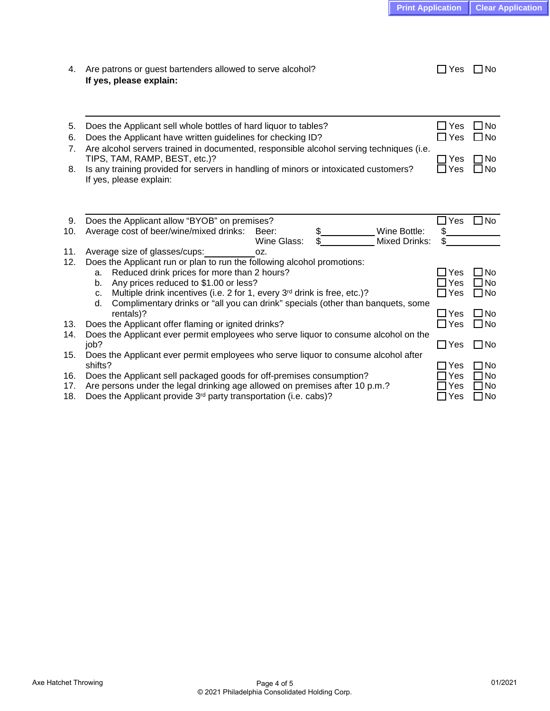| 4.         | Are patrons or guest bartenders allowed to serve alcohol?<br>If yes, please explain:                                                                                                                                                                                                    | Yes<br>$\Box$               | $\Box$ No                           |
|------------|-----------------------------------------------------------------------------------------------------------------------------------------------------------------------------------------------------------------------------------------------------------------------------------------|-----------------------------|-------------------------------------|
| 5.<br>6.   | Does the Applicant sell whole bottles of hard liquor to tables?<br>Does the Applicant have written guidelines for checking ID?                                                                                                                                                          | $\square$ Yes<br>$\Box$ Yes | $\square$ No<br>$\Box$ No           |
| 7.         | Are alcohol servers trained in documented, responsible alcohol serving techniques (i.e.<br>TIPS, TAM, RAMP, BEST, etc.)?                                                                                                                                                                | Yes                         | $\n  7$ No                          |
| 8.         | Is any training provided for servers in handling of minors or intoxicated customers?<br>If yes, please explain:                                                                                                                                                                         |                             |                                     |
|            |                                                                                                                                                                                                                                                                                         |                             |                                     |
| 9.         | Does the Applicant allow "BYOB" on premises?                                                                                                                                                                                                                                            | Yes                         | $\square$ No                        |
| 10.        | Average cost of beer/wine/mixed drinks:<br>\$<br>Wine Bottle:<br>Beer:                                                                                                                                                                                                                  | \$                          |                                     |
|            | <b>Mixed Drinks:</b><br>Wine Glass:                                                                                                                                                                                                                                                     | \$                          |                                     |
| 11.<br>12. | Average size of glasses/cups:<br>OZ.<br>Does the Applicant run or plan to run the following alcohol promotions:                                                                                                                                                                         |                             |                                     |
|            | Reduced drink prices for more than 2 hours?<br>a.<br>Any prices reduced to \$1.00 or less?<br>b.<br>Multiple drink incentives (i.e. 2 for 1, every 3 <sup>rd</sup> drink is free, etc.)?<br>c.<br>Complimentary drinks or "all you can drink" specials (other than banquets, some<br>d. | Yes<br>$\Box$ Yes<br>⊿ Yes  | $\Box$ No<br>$\Box$ No<br>$\Box$ No |
|            | rentals)?                                                                                                                                                                                                                                                                               | $\Box$ Yes                  | $\Box$ No                           |
| 13.        | Does the Applicant offer flaming or ignited drinks?                                                                                                                                                                                                                                     | $\Box$ Yes                  | $\square$ No                        |
| 14.        | Does the Applicant ever permit employees who serve liquor to consume alcohol on the<br>job?                                                                                                                                                                                             | $\Box$ Yes                  | $\square$ No                        |
| 15.        | Does the Applicant ever permit employees who serve liquor to consume alcohol after<br>shifts?                                                                                                                                                                                           | Yes                         | ∩No                                 |
| 16.        | Does the Applicant sell packaged goods for off-premises consumption?                                                                                                                                                                                                                    | Yes                         | $\Box$ No                           |
| 17.        | Are persons under the legal drinking age allowed on premises after 10 p.m.?                                                                                                                                                                                                             | Yes                         | ∃No                                 |
| 18.        | Does the Applicant provide 3 <sup>rd</sup> party transportation (i.e. cabs)?                                                                                                                                                                                                            | $\Box$ Yes                  | $\Box$ No                           |